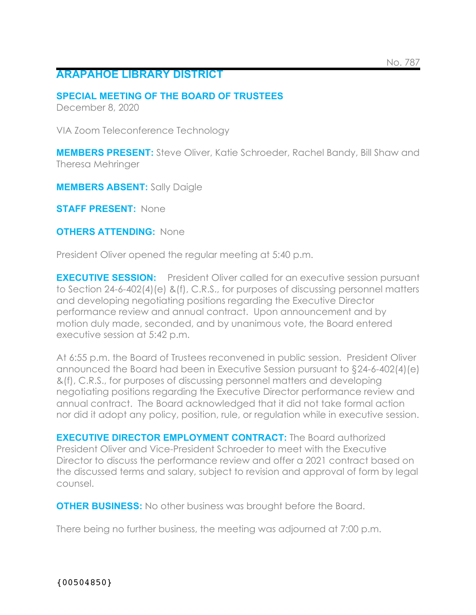## **ARAPAHOE LIBRARY DISTRICT**

## **SPECIAL MEETING OF THE BOARD OF TRUSTEES**

December 8, 2020

VIA Zoom Teleconference Technology

**MEMBERS PRESENT:** Steve Oliver, Katie Schroeder, Rachel Bandy, Bill Shaw and Theresa Mehringer

**MEMBERS ABSENT:** Sally Daigle

**STAFF PRESENT:** None

**OTHERS ATTENDING: None** 

President Oliver opened the regular meeting at 5:40 p.m.

**EXECUTIVE SESSION:** President Oliver called for an executive session pursuant to Section 24-6-402(4)(e) &(f), C.R.S., for purposes of discussing personnel matters and developing negotiating positions regarding the Executive Director performance review and annual contract. Upon announcement and by motion duly made, seconded, and by unanimous vote, the Board entered executive session at 5:42 p.m.

At 6:55 p.m. the Board of Trustees reconvened in public session. President Oliver announced the Board had been in Executive Session pursuant to §24-6-402(4)(e) &(f), C.R.S., for purposes of discussing personnel matters and developing negotiating positions regarding the Executive Director performance review and annual contract. The Board acknowledged that it did not take formal action nor did it adopt any policy, position, rule, or regulation while in executive session.

**EXECUTIVE DIRECTOR EMPLOYMENT CONTRACT:** The Board authorized President Oliver and Vice-President Schroeder to meet with the Executive Director to discuss the performance review and offer a 2021 contract based on the discussed terms and salary, subject to revision and approval of form by legal counsel.

**OTHER BUSINESS:** No other business was brought before the Board.

There being no further business, the meeting was adjourned at 7:00 p.m.